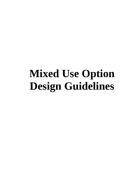# **Mixed Use Option Design Guidelines**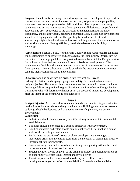**Purpose:** Pima County encourages new development and redevelopment to provide a compatible mix of land uses to increase the proximity of places where people live, shop, work, recreate and pursue other daily activities. The purpose of the design guidelines is to ensure that mixed-use development is well designed, compatible with adjacent land uses, contributes to the character of the neighborhood and larger community, and creates vibrant, pedestrian oriented places. Mixed-use developments should be of high quality and visually appealing from adjacent streets and surrounding neighborhood with an emphasis on building placement and orientation as well as site landscape. Energy efficient, sustainable development is highly encouraged.

**Applicability:** Section 18.51.07 of the Pima County Zoning Code requires all mixeduse developments to be reviewed and approved by the Pima County Design Review Committee. The design guidelines are provided as a tool by which the Design Review Committee can base their recommendations on mixed-use developments. The guidelines are flexible and are not intended to be a list of requirements for mixed-use developments. They are, however, a guide by which the Design Review Committee can base their recommendations and comments.

**Organization:** The guidelines are divided into five sections; layout,

parking/circulation, landscaping, signage, and safety. Each section has a related design objective. This design objective states what the community hopes to achieve. Design guidelines are provided to give direction to the Pima County Design Review Committee, who will determine whether or not the proposed mixed-use developments meet the intent of the Zoning Code and guidelines.

#### **Layout**

**Design Objective**: Mixed-use developments should create and inviting and attractive destination for local residents and region wide users. Buildings, and spaces between buildings, should be designed and oriented to create safe, pleasant, and active environments.

#### **Guidelines**:

- Pedestrians should be able to easily identify primary entrances into commercial establishments.
- Buildings should be oriented to a defined pedestrian walkway or street.
- Building materials and colors should exhibit quality and help establish a human scale while providing visual interest.
- To facilitate the creation of a sense of place, developers are encouraged to incorporate artists into the design team from the inception of planning in order to integrate art into their projects.
- Low occupancy uses such as warehouses, storage, and parking will not be counted in the evaluation of mixed-use functions.
- Special attention should be given to the design of project and building corners as an opportunity to create visual interest and invite activity.
- Transit stops should be incorporated into the layout of all mixed-use developments, regardless of service availability. Space should be available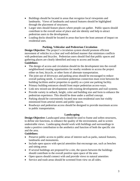- Buildings should be located in areas that recognize local viewpoints and landmarks. Views of landmarks and natural features should be highlighted through the placement of structures.
- Larger sites should feature places where people can gather. Public spaces should contribute to the overall sense of place and site identity and help to attract pedestrian users to the development.
- Loading docks should be located in areas that have the least amount of impact on residential uses.

## **Parking, Vehicular and Pedestrian Circulation**

**Design Objective:** The project's circulation system should promote efficient movement of vehicles in a clear and well-defined manner that minimizes conflicts with pedestrians and bicycles. Pedestrian users should find that public spaces and gathering places are clearly identified and easy to access and locate.

# **Guidelines:**

- The design of access and circulation should tie the development into the overall neighborhood creating opportunities for nearby residents to access the project either on foot, bicycle, or other form of alternate transportation.
- The joint use of driveways and parking areas should be encouraged to reduce overall parking needs. A convenient pedestrian connection must exist between the building facilities and/or properties to qualify as a joint use parking facility.
- Primary building entrances should front major pedestrian access-ways.
- Link new mixed-use developments with existing developments and trail systems.
- Provide variety in setback, height, color and building size and form to enhance the pedestrian experience. This should be done under a unified concept.
- Parking should be conveniently located near non-residential uses but visibly minimized from arterial streets and public spaces.
- Roadways and pedestrian access should be designed to provide maximum access to public transportation.

## **Landscaping**

**Design Objective:** Landscaped areas should be used to frame and soften structures, to define site functions, to enhance the quality of the environment, and to screen undesirable views. Landscaping should work with buildings and surroundings to make a positive contribution to the aesthetics and function of both the specific site and the area.

## **Guidelines:**

- Preserve public access to public areas of interest such as parks, natural features, landmarks and monuments.
- Include open spaces with special amenities that encourage use, such as benches and sitting areas
- If several buildings are proposed for a site, the spaces between the buildings should contribute to the overall positive open space of the area
- Open spaces should connect with and provide views to natural amenities
- Service and trash areas should be screened from view on all sides.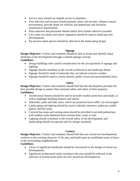- Service areas should not impede access to amenities.
- Tree selection and location should promote safety and security, enhance natural environment, provide shade for vehicles and pedestrians and minimize maintenance requirements.
- Plant selection and placement should reduce heat islands wherever possible.
- Low water use plants and native vegetation should be used to landscape new developments.
- No invasive plant species should be allowed in the landscaping design.

## **Signage**

**Design Objective:** Visitors and residents should be able to locate and identify major attributes of the development through a unified signage concept.

## **Guidelines:**

- Design buildings with careful consideration for the incorporation of signage and lighting.
- Signage should contribute to the overall architectural and landscape theme.
- Signage should be made of materials that can tolerate extreme weather.
- Signage should be used to clearly identify public versus private/residential areas.

## **Safety**

**Design Objective:** Visitors and residents should find that the development provides the best possible design to protect their personal safety and safety of their property**. Guidelines:**

- Architectural features should be used to provide weather protection and shade, as well as highlight building features and entries.
- Sidewalks, paths and bike lanes, which are protected from traffic, are encouraged.
- Landscaping and lighting should be used to identify entrances, pathways, public spaces, and bus stops.
- Covered bus stops and waiting areas should be provided to provide pedestrians with outdoor areas sheltered from extreme heat, wind, or rain.
- Lighting should contribute to the overall safety of the development, and landscaping should incorporate safe-by-design standards.

## **Context**

**Design Objective:** Visitors and residents should find that new mixed-use developments conform to the existing character of the area, and build upon an established sense of place in the surrounding neighborhoods.

## **Guidelines:**

- Views of significant landmarks should be maximized in the design of mixed use developments.
- Significant architectural styles existing in the area should be reflected in the selection of architectural styles for new mixed-use developments.